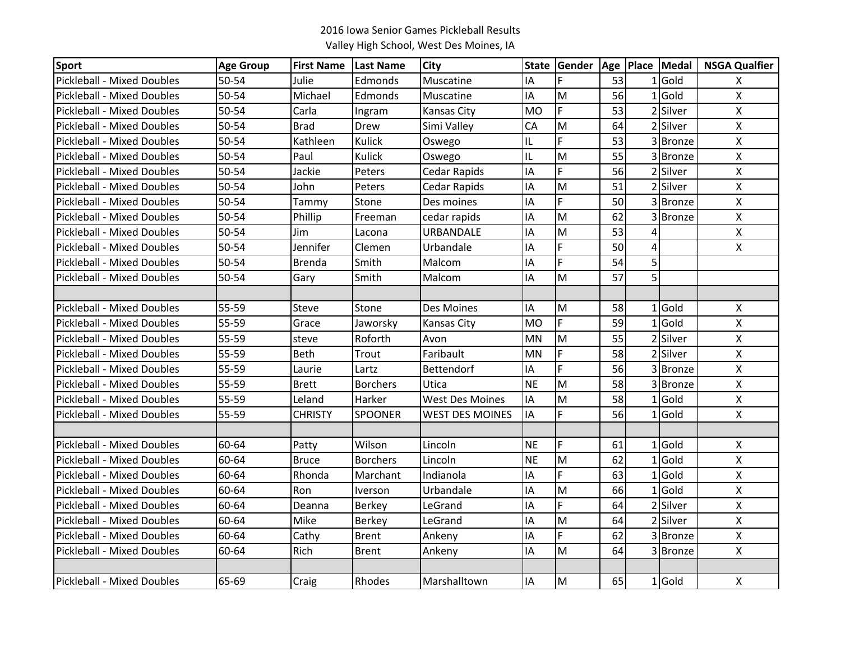| <b>Sport</b>                      | <b>Age Group</b> | <b>First Name</b> | Last Name       | <b>City</b>            |           | State Gender   Age   Place   Medal |    |                |           | <b>NSGA Qualfier</b> |
|-----------------------------------|------------------|-------------------|-----------------|------------------------|-----------|------------------------------------|----|----------------|-----------|----------------------|
| Pickleball - Mixed Doubles        | 50-54            | Julie             | Edmonds         | Muscatine              | IA        | F                                  | 53 |                | LGold     | X                    |
| Pickleball - Mixed Doubles        | 50-54            | Michael           | Edmonds         | Muscatine              | IA        | M                                  | 56 |                | $1$ Gold  | $\pmb{\mathsf{X}}$   |
| <b>Pickleball - Mixed Doubles</b> | 50-54            | Carla             | Ingram          | Kansas City            | <b>MO</b> | F                                  | 53 |                | 2 Silver  | $\pmb{\mathsf{X}}$   |
| Pickleball - Mixed Doubles        | 50-54            | <b>Brad</b>       | Drew            | Simi Valley            | CA        | M                                  | 64 |                | 2 Silver  | $\pmb{\times}$       |
| <b>Pickleball - Mixed Doubles</b> | 50-54            | Kathleen          | Kulick          | Oswego                 | IL        | F.                                 | 53 |                | 3 Bronze  | $\pmb{\mathsf{X}}$   |
| <b>Pickleball - Mixed Doubles</b> | 50-54            | Paul              | Kulick          | Oswego                 | IL        | M                                  | 55 |                | 3 Bronze  | $\pmb{\times}$       |
| <b>Pickleball - Mixed Doubles</b> | 50-54            | Jackie            | Peters          | Cedar Rapids           | IA        | F.                                 | 56 |                | 2 Silver  | $\pmb{\times}$       |
| Pickleball - Mixed Doubles        | 50-54            | John              | Peters          | Cedar Rapids           | IA        | M                                  | 51 |                | 2 Silver  | $\pmb{\mathsf{X}}$   |
| Pickleball - Mixed Doubles        | 50-54            | Tammy             | Stone           | Des moines             | IA        | F                                  | 50 |                | 3 Bronze  | $\pmb{\mathsf{X}}$   |
| <b>Pickleball - Mixed Doubles</b> | 50-54            | Phillip           | Freeman         | cedar rapids           | IA        | M                                  | 62 |                | 3 Bronze  | X                    |
| <b>Pickleball - Mixed Doubles</b> | 50-54            | Jim               | Lacona          | URBANDALE              | IA        | M                                  | 53 | 4              |           | $\pmb{\mathsf{X}}$   |
| <b>Pickleball - Mixed Doubles</b> | 50-54            | Jennifer          | Clemen          | Urbandale              | IA        | F                                  | 50 | $\overline{4}$ |           | $\pmb{\times}$       |
| <b>Pickleball - Mixed Doubles</b> | 50-54            | <b>Brenda</b>     | Smith           | Malcom                 | IA        | $\overline{F}$                     | 54 | $\overline{5}$ |           |                      |
| <b>Pickleball - Mixed Doubles</b> | 50-54            | Gary              | Smith           | Malcom                 | IA        | M                                  | 57 | 5 <sup>1</sup> |           |                      |
|                                   |                  |                   |                 |                        |           |                                    |    |                |           |                      |
| <b>Pickleball - Mixed Doubles</b> | 55-59            | Steve             | Stone           | Des Moines             | IA        | M                                  | 58 |                | $1$ Gold  | X                    |
| <b>Pickleball - Mixed Doubles</b> | 55-59            | Grace             | Jaworsky        | Kansas City            | <b>MO</b> | F                                  | 59 |                | $1$ Gold  | $\pmb{\mathsf{X}}$   |
| <b>Pickleball - Mixed Doubles</b> | 55-59            | steve             | Roforth         | Avon                   | <b>MN</b> | M                                  | 55 |                | 2 Silver  | $\pmb{\times}$       |
| <b>Pickleball - Mixed Doubles</b> | 55-59            | Beth              | Trout           | Faribault              | <b>MN</b> | F.                                 | 58 |                | 2 Silver  | $\pmb{\mathsf{X}}$   |
| <b>Pickleball - Mixed Doubles</b> | 55-59            | Laurie            | Lartz           | Bettendorf             | IA        | F.                                 | 56 |                | 3 Bronze  | $\pmb{\times}$       |
| <b>Pickleball - Mixed Doubles</b> | 55-59            | <b>Brett</b>      | <b>Borchers</b> | Utica                  | <b>NE</b> | M                                  | 58 |                | 3 Bronze  | $\mathsf{X}$         |
| <b>Pickleball - Mixed Doubles</b> | 55-59            | Leland            | Harker          | <b>West Des Moines</b> | IA        | M                                  | 58 |                | $1$ Gold  | $\pmb{\mathsf{X}}$   |
| Pickleball - Mixed Doubles        | 55-59            | <b>CHRISTY</b>    | <b>SPOONER</b>  | <b>WEST DES MOINES</b> | IA        | F.                                 | 56 |                | $1 $ Gold | $\pmb{\mathsf{X}}$   |
|                                   |                  |                   |                 |                        |           |                                    |    |                |           |                      |
| <b>Pickleball - Mixed Doubles</b> | 60-64            | Patty             | Wilson          | Lincoln                | <b>NE</b> | F.                                 | 61 |                | $1$ Gold  | $\pmb{\mathsf{X}}$   |
| <b>Pickleball - Mixed Doubles</b> | 60-64            | <b>Bruce</b>      | <b>Borchers</b> | Lincoln                | <b>NE</b> | M                                  | 62 |                | $1$ Gold  | $\pmb{\times}$       |
| <b>Pickleball - Mixed Doubles</b> | 60-64            | Rhonda            | Marchant        | Indianola              | IA        | F                                  | 63 |                | $1$ Gold  | $\pmb{\mathsf{X}}$   |
| Pickleball - Mixed Doubles        | 60-64            | Ron               | Iverson         | Urbandale              | IA        | M                                  | 66 |                | $1$ Gold  | $\pmb{\mathsf{X}}$   |
| <b>Pickleball - Mixed Doubles</b> | 60-64            | Deanna            | <b>Berkey</b>   | LeGrand                | IΑ        | F.                                 | 64 |                | 2 Silver  | $\pmb{\times}$       |
| <b>Pickleball - Mixed Doubles</b> | 60-64            | Mike              | <b>Berkey</b>   | LeGrand                | ΙA        | M                                  | 64 |                | 2 Silver  | $\pmb{\times}$       |
| Pickleball - Mixed Doubles        | 60-64            | Cathy             | Brent           | Ankeny                 | IA        | F                                  | 62 |                | 3 Bronze  | $\pmb{\mathsf{X}}$   |
| <b>Pickleball - Mixed Doubles</b> | 60-64            | Rich              | <b>Brent</b>    | Ankeny                 | IA        | M                                  | 64 |                | 3 Bronze  | X                    |
|                                   |                  |                   |                 |                        |           |                                    |    |                |           |                      |
| Pickleball - Mixed Doubles        | 65-69            | Craig             | Rhodes          | Marshalltown           | IA        | M                                  | 65 |                | $1$ Gold  | X                    |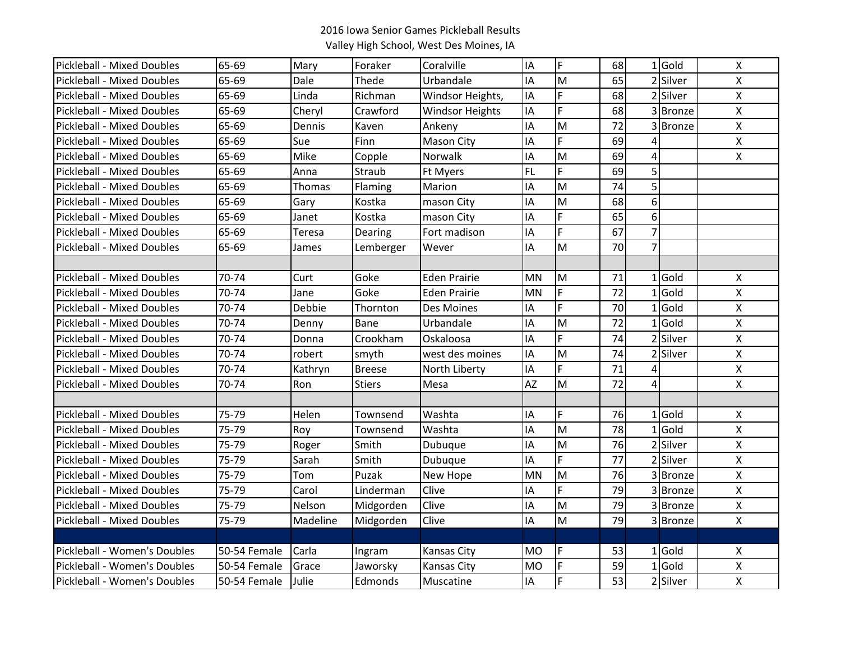| <b>Pickleball - Mixed Doubles</b> | 65-69        | Mary     | Foraker       | Coralville             | IA        | F           | 68 |                | $1$ Gold | $\pmb{\mathsf{X}}$        |
|-----------------------------------|--------------|----------|---------------|------------------------|-----------|-------------|----|----------------|----------|---------------------------|
| <b>Pickleball - Mixed Doubles</b> | 65-69        | Dale     | Thede         | Urbandale              | IΑ        | M           | 65 |                | 2 Silver | Χ                         |
| <b>Pickleball - Mixed Doubles</b> | 65-69        | Linda    | Richman       | Windsor Heights,       | IA        | F           | 68 |                | 2 Silver | $\pmb{\mathsf{X}}$        |
| <b>Pickleball - Mixed Doubles</b> | 65-69        | Cheryl   | Crawford      | <b>Windsor Heights</b> | IA        | F           | 68 |                | 3 Bronze | $\boldsymbol{\mathsf{X}}$ |
| <b>Pickleball - Mixed Doubles</b> | 65-69        | Dennis   | Kaven         | Ankeny                 | IΑ        | M           | 72 |                | 3 Bronze | $\pmb{\mathsf{X}}$        |
| <b>Pickleball - Mixed Doubles</b> | 65-69        | Sue      | Finn          | <b>Mason City</b>      | IΑ        | F           | 69 | 4              |          | Χ                         |
| <b>Pickleball - Mixed Doubles</b> | 65-69        | Mike     | Copple        | Norwalk                | IΑ        | M           | 69 | 4              |          | $\pmb{\mathsf{X}}$        |
| <b>Pickleball - Mixed Doubles</b> | 65-69        | Anna     | Straub        | Ft Myers               | FL        | F           | 69 | 5              |          |                           |
| Pickleball - Mixed Doubles        | 65-69        | Thomas   | Flaming       | Marion                 | ΙA        | M           | 74 | 5              |          |                           |
| <b>Pickleball - Mixed Doubles</b> | 65-69        | Gary     | Kostka        | mason City             | ΙA        | M           | 68 | 6              |          |                           |
| <b>Pickleball - Mixed Doubles</b> | 65-69        | Janet    | Kostka        | mason City             | IΑ        | F           | 65 | 6              |          |                           |
| <b>Pickleball - Mixed Doubles</b> | 65-69        | Teresa   | Dearing       | Fort madison           | IΑ        | F           | 67 | $\overline{7}$ |          |                           |
| <b>Pickleball - Mixed Doubles</b> | 65-69        | James    | Lemberger     | Wever                  | ΙA        | M           | 70 | $\overline{7}$ |          |                           |
|                                   |              |          |               |                        |           |             |    |                |          |                           |
| <b>Pickleball - Mixed Doubles</b> | 70-74        | Curt     | Goke          | <b>Eden Prairie</b>    | <b>MN</b> | M           | 71 |                | $1$ Gold | $\boldsymbol{\mathsf{X}}$ |
| <b>Pickleball - Mixed Doubles</b> | 70-74        | Jane     | Goke          | <b>Eden Prairie</b>    | <b>MN</b> | F           | 72 |                | $1$ Gold | $\pmb{\mathsf{X}}$        |
| <b>Pickleball - Mixed Doubles</b> | 70-74        | Debbie   | Thornton      | Des Moines             | ΙA        | F           | 70 |                | $1$ Gold | $\pmb{\mathsf{X}}$        |
| <b>Pickleball - Mixed Doubles</b> | 70-74        | Denny    | Bane          | Urbandale              | IΑ        | M           | 72 |                | $1$ Gold | $\pmb{\mathsf{X}}$        |
| <b>Pickleball - Mixed Doubles</b> | 70-74        | Donna    | Crookham      | Oskaloosa              | ΙA        | F           | 74 |                | 2 Silver | Χ                         |
| <b>Pickleball - Mixed Doubles</b> | 70-74        | robert   | smyth         | west des moines        | ΙA        | M           | 74 |                | 2 Silver | $\pmb{\mathsf{X}}$        |
| <b>Pickleball - Mixed Doubles</b> | 70-74        | Kathryn  | <b>Breese</b> | North Liberty          | ΙA        | F           | 71 | 4              |          | $\pmb{\mathsf{X}}$        |
| <b>Pickleball - Mixed Doubles</b> | 70-74        | Ron      | <b>Stiers</b> | Mesa                   | <b>AZ</b> | M           | 72 | 4              |          | $\pmb{\mathsf{X}}$        |
|                                   |              |          |               |                        |           |             |    |                |          |                           |
| <b>Pickleball - Mixed Doubles</b> | 75-79        | Helen    | Townsend      | Washta                 | IΑ        | F           | 76 |                | $1$ Gold | Χ                         |
| <b>Pickleball - Mixed Doubles</b> | 75-79        | Roy      | Townsend      | Washta                 | ΙA        | M           | 78 |                | $1$ Gold | $\pmb{\chi}$              |
| Pickleball - Mixed Doubles        | 75-79        | Roger    | Smith         | Dubuque                | ΙA        | M           | 76 |                | 2 Silver | $\pmb{\mathsf{X}}$        |
| <b>Pickleball - Mixed Doubles</b> | 75-79        | Sarah    | Smith         | Dubuque                | IΑ        | F           | 77 |                | 2 Silver | Χ                         |
| <b>Pickleball - Mixed Doubles</b> | 75-79        | Tom      | Puzak         | New Hope               | <b>MN</b> | M           | 76 |                | 3 Bronze | $\pmb{\mathsf{X}}$        |
| <b>Pickleball - Mixed Doubles</b> | 75-79        | Carol    | Linderman     | Clive                  | IΑ        | F           | 79 |                | 3 Bronze | $\pmb{\mathsf{X}}$        |
| <b>Pickleball - Mixed Doubles</b> | 75-79        | Nelson   | Midgorden     | Clive                  | ΙA        | M           | 79 |                | 3 Bronze | $\pmb{\mathsf{X}}$        |
| <b>Pickleball - Mixed Doubles</b> | 75-79        | Madeline | Midgorden     | Clive                  | IΑ        | M           | 79 |                | 3 Bronze | $\pmb{\mathsf{X}}$        |
|                                   |              |          |               |                        |           |             |    |                |          |                           |
| Pickleball - Women's Doubles      | 50-54 Female | Carla    | Ingram        | Kansas City            | <b>MO</b> | F           | 53 |                | $1$ Gold | X                         |
| Pickleball - Women's Doubles      | 50-54 Female | Grace    | Jaworsky      | Kansas City            | <b>MO</b> | $\mathsf F$ | 59 |                | $1$ Gold | $\pmb{\mathsf{X}}$        |
| Pickleball - Women's Doubles      | 50-54 Female | Julie    | Edmonds       | Muscatine              | IA        | F           | 53 |                | 2 Silver | $\pmb{\mathsf{X}}$        |
|                                   |              |          |               |                        |           |             |    |                |          |                           |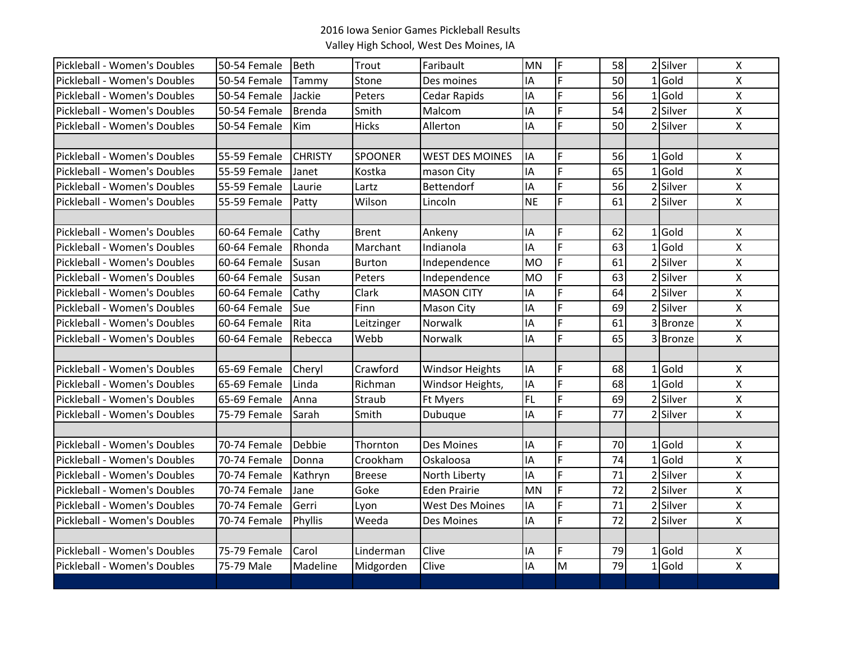| Pickleball - Women's Doubles | 50-54 Female | <b>Beth</b>    | Trout          | Faribault              | <b>MN</b> | F                                                                                     | 58 | 2 Silver | $\boldsymbol{\mathsf{X}}$ |
|------------------------------|--------------|----------------|----------------|------------------------|-----------|---------------------------------------------------------------------------------------|----|----------|---------------------------|
| Pickleball - Women's Doubles | 50-54 Female | Tammy          | Stone          | Des moines             | IA        | F                                                                                     | 50 | $1$ Gold | X                         |
| Pickleball - Women's Doubles | 50-54 Female | Jackie         | Peters         | <b>Cedar Rapids</b>    | ΙA        | F.                                                                                    | 56 | $1$ Gold | $\mathsf{X}$              |
| Pickleball - Women's Doubles | 50-54 Female | <b>Brenda</b>  | Smith          | Malcom                 | ΙA        | F.                                                                                    | 54 | 2 Silver | $\mathsf{X}$              |
| Pickleball - Women's Doubles | 50-54 Female | Kim            | <b>Hicks</b>   | Allerton               | IA        | F.                                                                                    | 50 | 2 Silver | $\mathsf{X}$              |
|                              |              |                |                |                        |           |                                                                                       |    |          |                           |
| Pickleball - Women's Doubles | 55-59 Female | <b>CHRISTY</b> | <b>SPOONER</b> | <b>WEST DES MOINES</b> | IA        | F.                                                                                    | 56 | $1$ Gold | $\boldsymbol{\mathsf{X}}$ |
| Pickleball - Women's Doubles | 55-59 Female | Janet          | Kostka         | mason City             | IA        | $\overline{F}$                                                                        | 65 | $1$ Gold | $\pmb{\times}$            |
| Pickleball - Women's Doubles | 55-59 Female | Laurie         | Lartz          | Bettendorf             | IA        | F.                                                                                    | 56 | 2 Silver | $\boldsymbol{\mathsf{X}}$ |
| Pickleball - Women's Doubles | 55-59 Female | Patty          | Wilson         | Lincoln                | <b>NE</b> | F.                                                                                    | 61 | 2 Silver | $\boldsymbol{\mathsf{X}}$ |
|                              |              |                |                |                        |           |                                                                                       |    |          |                           |
| Pickleball - Women's Doubles | 60-64 Female | Cathy          | <b>Brent</b>   | Ankeny                 | IA        | F                                                                                     | 62 | $1$ Gold | $\boldsymbol{\mathsf{X}}$ |
| Pickleball - Women's Doubles | 60-64 Female | Rhonda         | Marchant       | Indianola              | IA        | F.                                                                                    | 63 | $1$ Gold | $\mathsf{X}$              |
| Pickleball - Women's Doubles | 60-64 Female | Susan          | <b>Burton</b>  | Independence           | <b>MO</b> | $\overline{F}$                                                                        | 61 | 2 Silver | $\pmb{\times}$            |
| Pickleball - Women's Doubles | 60-64 Female | Susan          | Peters         | Independence           | <b>MO</b> | F                                                                                     | 63 | 2 Silver | $\pmb{\times}$            |
| Pickleball - Women's Doubles | 60-64 Female | Cathy          | Clark          | <b>MASON CITY</b>      | IA        | F                                                                                     | 64 | 2 Silver | $\pmb{\times}$            |
| Pickleball - Women's Doubles | 60-64 Female | Sue            | Finn           | <b>Mason City</b>      | IA        | F.                                                                                    | 69 | 2 Silver | $\mathsf{X}$              |
| Pickleball - Women's Doubles | 60-64 Female | Rita           | Leitzinger     | <b>Norwalk</b>         | IA        | F.                                                                                    | 61 | 3 Bronze | $\mathsf{X}$              |
| Pickleball - Women's Doubles | 60-64 Female | Rebecca        | Webb           | <b>Norwalk</b>         | IA        | F.                                                                                    | 65 | 3Bronze  | $\mathsf{X}$              |
|                              |              |                |                |                        |           |                                                                                       |    |          |                           |
| Pickleball - Women's Doubles | 65-69 Female | Cheryl         | Crawford       | <b>Windsor Heights</b> | IA        | F.                                                                                    | 68 | $1$ Gold | $\boldsymbol{\mathsf{X}}$ |
| Pickleball - Women's Doubles | 65-69 Female | Linda          | Richman        | Windsor Heights,       | IA        | $\overline{F}$                                                                        | 68 | $1$ Gold | $\boldsymbol{\mathsf{X}}$ |
| Pickleball - Women's Doubles | 65-69 Female | Anna           | Straub         | Ft Myers               | FL.       | $\overline{F}$                                                                        | 69 | 2 Silver | $\mathsf{X}$              |
| Pickleball - Women's Doubles | 75-79 Female | Sarah          | Smith          | Dubuque                | IA        | $\overline{F}$                                                                        | 77 | 2 Silver | $\boldsymbol{\mathsf{X}}$ |
|                              |              |                |                |                        |           |                                                                                       |    |          |                           |
| Pickleball - Women's Doubles | 70-74 Female | Debbie         | Thornton       | Des Moines             | IA        | F.                                                                                    | 70 | $1$ Gold | $\boldsymbol{\mathsf{X}}$ |
| Pickleball - Women's Doubles | 70-74 Female | Donna          | Crookham       | Oskaloosa              | ΙA        | F.                                                                                    | 74 | $1$ Gold | $\mathsf{X}$              |
| Pickleball - Women's Doubles | 70-74 Female | Kathryn        | <b>Breese</b>  | North Liberty          | IA        | F                                                                                     | 71 | 2 Silver | $\mathsf{X}$              |
| Pickleball - Women's Doubles | 70-74 Female | Jane           | Goke           | <b>Eden Prairie</b>    | <b>MN</b> | F                                                                                     | 72 | 2 Silver | $\mathsf{X}$              |
| Pickleball - Women's Doubles | 70-74 Female | Gerri          | Lyon           | <b>West Des Moines</b> | IA        | $\overline{F}$                                                                        | 71 | 2 Silver | $\pmb{\times}$            |
| Pickleball - Women's Doubles | 70-74 Female | Phyllis        | Weeda          | Des Moines             | IA        | F.                                                                                    | 72 | 2 Silver | $\mathsf{X}$              |
|                              |              |                |                |                        |           |                                                                                       |    |          |                           |
| Pickleball - Women's Doubles | 75-79 Female | Carol          | Linderman      | Clive                  | I٨        | F                                                                                     | 79 | $1$ Gold | X                         |
| Pickleball - Women's Doubles | 75-79 Male   | Madeline       | Midgorden      | Clive                  | IA        | $\mathsf{M}% _{T}=\mathsf{M}_{T}\!\left( a,b\right) ,\ \mathsf{M}_{T}=\mathsf{M}_{T}$ | 79 | $1$ Gold | $\pmb{\mathsf{X}}$        |
|                              |              |                |                |                        |           |                                                                                       |    |          |                           |
|                              |              |                |                |                        |           |                                                                                       |    |          |                           |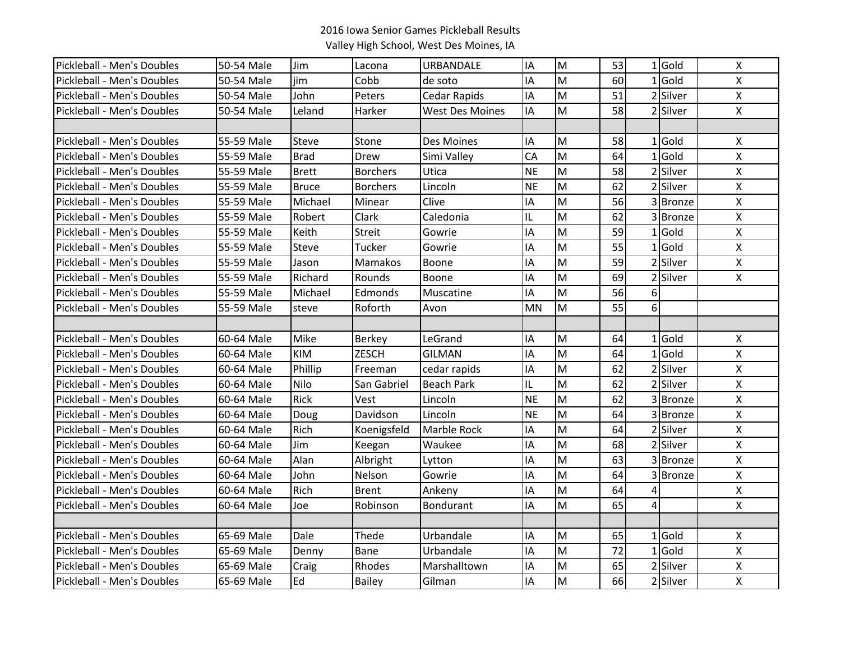| Pickleball - Men's Doubles | 50-54 Male | Jim          | Lacona          | <b>URBANDALE</b>       | IA        | M | 53 |                | $1$ Gold      | $\boldsymbol{\mathsf{X}}$ |
|----------------------------|------------|--------------|-----------------|------------------------|-----------|---|----|----------------|---------------|---------------------------|
| Pickleball - Men's Doubles | 50-54 Male | jim          | Cobb            | de soto                | ΙA        | M | 60 |                | $1$ Gold      | X                         |
| Pickleball - Men's Doubles | 50-54 Male | John         | Peters          | Cedar Rapids           | IA        | M | 51 |                | 2 Silver      | $\pmb{\mathsf{X}}$        |
| Pickleball - Men's Doubles | 50-54 Male | Leland       | Harker          | <b>West Des Moines</b> | IA        | M | 58 |                | 2 Silver      | $\pmb{\times}$            |
|                            |            |              |                 |                        |           |   |    |                |               |                           |
| Pickleball - Men's Doubles | 55-59 Male | Steve        | Stone           | Des Moines             | IA        | M | 58 |                | $1$ Gold      | X                         |
| Pickleball - Men's Doubles | 55-59 Male | <b>Brad</b>  | Drew            | Simi Valley            | CA        | M | 64 |                | $1$ Gold      | $\pmb{\mathsf{X}}$        |
| Pickleball - Men's Doubles | 55-59 Male | <b>Brett</b> | <b>Borchers</b> | Utica                  | <b>NE</b> | M | 58 |                | 2 Silver      | $\pmb{\mathsf{X}}$        |
| Pickleball - Men's Doubles | 55-59 Male | <b>Bruce</b> | <b>Borchers</b> | Lincoln                | <b>NE</b> | M | 62 | $\mathcal{P}$  | Silver        | $\boldsymbol{\mathsf{X}}$ |
| Pickleball - Men's Doubles | 55-59 Male | Michael      | Minear          | Clive                  | IΑ        | M | 56 |                | 3 Bronze      | $\pmb{\mathsf{X}}$        |
| Pickleball - Men's Doubles | 55-59 Male | Robert       | Clark           | Caledonia              | IL        | M | 62 |                | 3 Bronze      | X                         |
| Pickleball - Men's Doubles | 55-59 Male | Keith        | <b>Streit</b>   | Gowrie                 | IΑ        | M | 59 |                | $1$ Gold      | $\boldsymbol{\mathsf{X}}$ |
| Pickleball - Men's Doubles | 55-59 Male | Steve        | Tucker          | Gowrie                 | IΑ        | M | 55 |                | $1$ Gold      | $\pmb{\mathsf{X}}$        |
| Pickleball - Men's Doubles | 55-59 Male | Jason        | Mamakos         | Boone                  | ΙA        | M | 59 |                | 2 Silver      | $\pmb{\mathsf{X}}$        |
| Pickleball - Men's Doubles | 55-59 Male | Richard      | Rounds          | Boone                  | IΑ        | M | 69 |                | 2 Silver      | $\mathsf{X}$              |
| Pickleball - Men's Doubles | 55-59 Male | Michael      | Edmonds         | Muscatine              | ΙA        | M | 56 | 6              |               |                           |
| Pickleball - Men's Doubles | 55-59 Male | steve        | Roforth         | Avon                   | <b>MN</b> | M | 55 | 6 <sup>1</sup> |               |                           |
|                            |            |              |                 |                        |           |   |    |                |               |                           |
| Pickleball - Men's Doubles | 60-64 Male | Mike         | <b>Berkey</b>   | LeGrand                | IΑ        | M | 64 |                | $1$ Gold      | $\pmb{\mathsf{X}}$        |
| Pickleball - Men's Doubles | 60-64 Male | KIM          | <b>ZESCH</b>    | <b>GILMAN</b>          | IΑ        | M | 64 |                | $1$ Gold      | Χ                         |
| Pickleball - Men's Doubles | 60-64 Male | Phillip      | Freeman         | cedar rapids           | ΙA        | M | 62 |                | 2 Silver      | $\pmb{\times}$            |
| Pickleball - Men's Doubles | 60-64 Male | Nilo         | San Gabriel     | <b>Beach Park</b>      | IL        | M | 62 |                | 2 Silver      | $\pmb{\mathsf{X}}$        |
| Pickleball - Men's Doubles | 60-64 Male | Rick         | Vest            | Lincoln                | <b>NE</b> | M | 62 |                | 3 Bronze      | $\pmb{\mathsf{X}}$        |
| Pickleball - Men's Doubles | 60-64 Male | Doug         | Davidson        | Lincoln                | <b>NE</b> | M | 64 |                | 3 Bronze      | $\pmb{\mathsf{X}}$        |
| Pickleball - Men's Doubles | 60-64 Male | Rich         | Koenigsfeld     | <b>Marble Rock</b>     | ΙA        | M | 64 |                | 2 Silver      | Χ                         |
| Pickleball - Men's Doubles | 60-64 Male | Jim          | Keegan          | Waukee                 | IΑ        | M | 68 |                | 2 Silver      | $\pmb{\mathsf{X}}$        |
| Pickleball - Men's Doubles | 60-64 Male | Alan         | Albright        | Lytton                 | IΑ        | M | 63 |                | <b>Bronze</b> | $\pmb{\mathsf{X}}$        |
| Pickleball - Men's Doubles | 60-64 Male | John         | Nelson          | Gowrie                 | ΙA        | M | 64 | 3              | <b>Bronze</b> | $\pmb{\mathsf{X}}$        |
| Pickleball - Men's Doubles | 60-64 Male | Rich         | <b>Brent</b>    | Ankeny                 | IΑ        | M | 64 | 4              |               | $\pmb{\mathsf{X}}$        |
| Pickleball - Men's Doubles | 60-64 Male | Joe          | Robinson        | Bondurant              | ΙA        | M | 65 | 4              |               | X                         |
|                            |            |              |                 |                        |           |   |    |                |               |                           |
| Pickleball - Men's Doubles | 65-69 Male | Dale         | Thede           | Urbandale              | ΙA        | M | 65 |                | $1$ Gold      | $\pmb{\mathsf{X}}$        |
| Pickleball - Men's Doubles | 65-69 Male | Denny        | <b>Bane</b>     | Urbandale              | IA        | M | 72 |                | $1$ Gold      | $\pmb{\mathsf{X}}$        |
| Pickleball - Men's Doubles | 65-69 Male | Craig        | Rhodes          | Marshalltown           | IA        | M | 65 |                | 2 Silver      | $\pmb{\mathsf{X}}$        |
| Pickleball - Men's Doubles | 65-69 Male | Ed           | Bailey          | Gilman                 | IΑ        | M | 66 |                | 2 Silver      | $\pmb{\mathsf{X}}$        |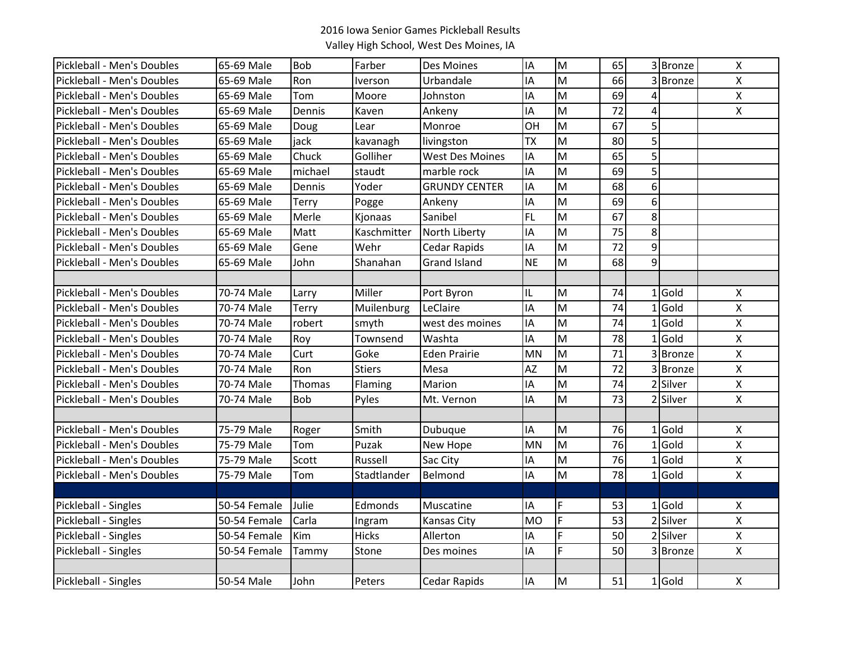| Pickleball - Men's Doubles | 65-69 Male   | <b>Bob</b>   | Farber        | Des Moines             | IA        | M | 65 |   | 3 Bronze | $\boldsymbol{\mathsf{X}}$ |
|----------------------------|--------------|--------------|---------------|------------------------|-----------|---|----|---|----------|---------------------------|
| Pickleball - Men's Doubles | 65-69 Male   | Ron          | Iverson       | Urbandale              | IA        | M | 66 | 3 | Bronze   | X                         |
| Pickleball - Men's Doubles | 65-69 Male   | Tom          | Moore         | Johnston               | ΙA        | M | 69 | 4 |          | $\pmb{\mathsf{X}}$        |
| Pickleball - Men's Doubles | 65-69 Male   | Dennis       | Kaven         | Ankeny                 | IA        | M | 72 | 4 |          | $\boldsymbol{\mathsf{X}}$ |
| Pickleball - Men's Doubles | 65-69 Male   | Doug         | Lear          | Monroe                 | OH        | M | 67 | 5 |          |                           |
| Pickleball - Men's Doubles | 65-69 Male   | jack         | kavanagh      | livingston             | <b>TX</b> | M | 80 | 5 |          |                           |
| Pickleball - Men's Doubles | 65-69 Male   | Chuck        | Golliher      | <b>West Des Moines</b> | ΙA        | M | 65 | 5 |          |                           |
| Pickleball - Men's Doubles | 65-69 Male   | michael      | staudt        | marble rock            | IA        | M | 69 | 5 |          |                           |
| Pickleball - Men's Doubles | 65-69 Male   | Dennis       | Yoder         | <b>GRUNDY CENTER</b>   | IΑ        | M | 68 | 6 |          |                           |
| Pickleball - Men's Doubles | 65-69 Male   | <b>Terry</b> | Pogge         | Ankeny                 | IA        | M | 69 | 6 |          |                           |
| Pickleball - Men's Doubles | 65-69 Male   | Merle        | Kjonaas       | Sanibel                | <b>FL</b> | M | 67 | 8 |          |                           |
| Pickleball - Men's Doubles | 65-69 Male   | Matt         | Kaschmitter   | North Liberty          | IA        | M | 75 | 8 |          |                           |
| Pickleball - Men's Doubles | 65-69 Male   | Gene         | Wehr          | <b>Cedar Rapids</b>    | IA        | M | 72 | 9 |          |                           |
| Pickleball - Men's Doubles | 65-69 Male   | John         | Shanahan      | <b>Grand Island</b>    | <b>NE</b> | M | 68 | 9 |          |                           |
|                            |              |              |               |                        |           |   |    |   |          |                           |
| Pickleball - Men's Doubles | 70-74 Male   | Larry        | Miller        | Port Byron             | IL        | M | 74 |   | $1$ Gold | $\pmb{\times}$            |
| Pickleball - Men's Doubles | 70-74 Male   | Terry        | Muilenburg    | LeClaire               | ΙA        | M | 74 |   | $1$ Gold | $\pmb{\mathsf{X}}$        |
| Pickleball - Men's Doubles | 70-74 Male   | robert       | smyth         | west des moines        | IA        | M | 74 |   | $1$ Gold | $\pmb{\times}$            |
| Pickleball - Men's Doubles | 70-74 Male   | Roy          | Townsend      | Washta                 | IA        | M | 78 |   | $1$ Gold | $\pmb{\mathsf{X}}$        |
| Pickleball - Men's Doubles | 70-74 Male   | Curt         | Goke          | <b>Eden Prairie</b>    | MN        | M | 71 |   | 3 Bronze | X                         |
| Pickleball - Men's Doubles | 70-74 Male   | Ron          | <b>Stiers</b> | Mesa                   | <b>AZ</b> | M | 72 |   | 3 Bronze | X                         |
| Pickleball - Men's Doubles | 70-74 Male   | Thomas       | Flaming       | Marion                 | ΙA        | M | 74 |   | 2 Silver | $\pmb{\times}$            |
| Pickleball - Men's Doubles | 70-74 Male   | <b>Bob</b>   | Pyles         | Mt. Vernon             | ΙA        | M | 73 |   | 2 Silver | $\pmb{\mathsf{X}}$        |
|                            |              |              |               |                        |           |   |    |   |          |                           |
| Pickleball - Men's Doubles | 75-79 Male   | Roger        | Smith         | Dubuque                | IΑ        | M | 76 |   | $1$ Gold | X                         |
| Pickleball - Men's Doubles | 75-79 Male   | Tom          | Puzak         | New Hope               | <b>MN</b> | M | 76 |   | $1$ Gold | $\pmb{\mathsf{X}}$        |
| Pickleball - Men's Doubles | 75-79 Male   | Scott        | Russell       | Sac City               | ΙA        | M | 76 |   | $1$ Gold | $\pmb{\times}$            |
| Pickleball - Men's Doubles | 75-79 Male   | Tom          | Stadtlander   | Belmond                | ΙA        | M | 78 |   | $1$ Gold | $\pmb{\mathsf{X}}$        |
|                            |              |              |               |                        |           |   |    |   |          |                           |
| Pickleball - Singles       | 50-54 Female | Julie        | Edmonds       | Muscatine              | IA        | F | 53 |   | $1$ Gold | X                         |
| Pickleball - Singles       | 50-54 Female | Carla        | Ingram        | Kansas City            | <b>MO</b> | F | 53 |   | 2 Silver | $\pmb{\mathsf{X}}$        |
| Pickleball - Singles       | 50-54 Female | Kim          | <b>Hicks</b>  | Allerton               | IA        | F | 50 |   | 2 Silver | $\pmb{\mathsf{X}}$        |
| Pickleball - Singles       | 50-54 Female | Tammy        | Stone         | Des moines             | IΑ        | F | 50 |   | 3 Bronze | $\boldsymbol{\mathsf{X}}$ |
|                            |              |              |               |                        |           |   |    |   |          |                           |
| Pickleball - Singles       | 50-54 Male   | John         | Peters        | Cedar Rapids           | IA        | M | 51 |   | $1$ Gold | $\boldsymbol{\mathsf{X}}$ |
|                            |              |              |               |                        |           |   |    |   |          |                           |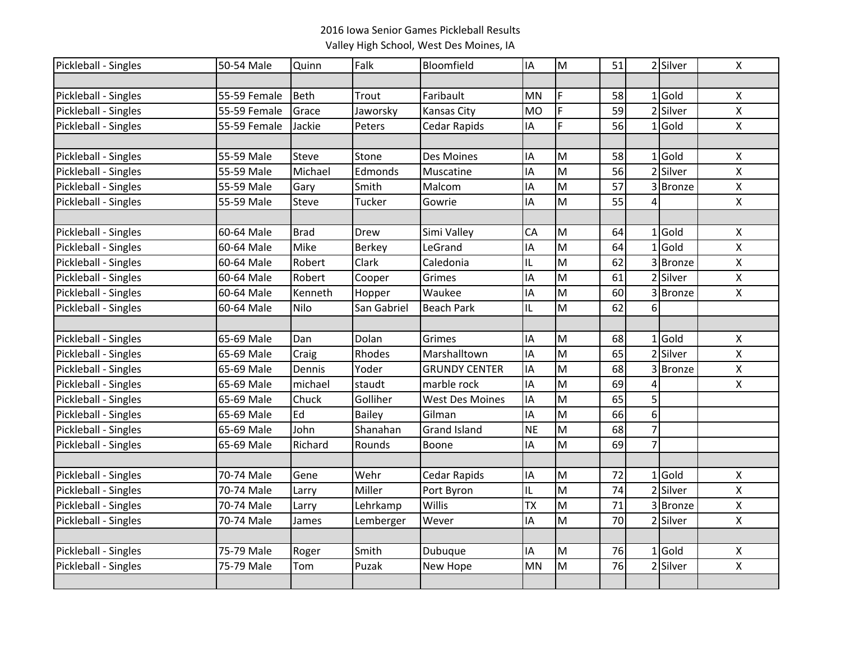| Pickleball - Singles | 50-54 Male   | Quinn       | Falk          | Bloomfield             | IA        | M | 51 |   | 2 Silver      | $\mathsf{X}$              |
|----------------------|--------------|-------------|---------------|------------------------|-----------|---|----|---|---------------|---------------------------|
|                      |              |             |               |                        |           |   |    |   |               |                           |
| Pickleball - Singles | 55-59 Female | Beth        | Trout         | Faribault              | <b>MN</b> | F | 58 |   | $1$ Gold      | X                         |
| Pickleball - Singles | 55-59 Female | Grace       | Jaworsky      | <b>Kansas City</b>     | <b>MO</b> | F | 59 |   | 2 Silver      | $\mathsf{X}$              |
| Pickleball - Singles | 55-59 Female | Jackie      | Peters        | Cedar Rapids           | IA        | F | 56 |   | $1$ Gold      | $\boldsymbol{\mathsf{X}}$ |
|                      |              |             |               |                        |           |   |    |   |               |                           |
| Pickleball - Singles | 55-59 Male   | Steve       | Stone         | <b>Des Moines</b>      | ΙA        | M | 58 |   | $1$ Gold      | $\boldsymbol{\mathsf{X}}$ |
| Pickleball - Singles | 55-59 Male   | Michael     | Edmonds       | Muscatine              | IA        | M | 56 |   | 2 Silver      | $\mathsf{X}$              |
| Pickleball - Singles | 55-59 Male   | Gary        | Smith         | Malcom                 | IA        | M | 57 |   | <b>Bronze</b> | $\pmb{\times}$            |
| Pickleball - Singles | 55-59 Male   | Steve       | Tucker        | Gowrie                 | IA        | M | 55 |   |               | $\pmb{\times}$            |
|                      |              |             |               |                        |           |   |    |   |               |                           |
| Pickleball - Singles | 60-64 Male   | <b>Brad</b> | Drew          | Simi Valley            | CA        | M | 64 |   | $1$ Gold      | X                         |
| Pickleball - Singles | 60-64 Male   | Mike        | Berkey        | LeGrand                | ΙA        | M | 64 |   | $1$ Gold      | $\pmb{\times}$            |
| Pickleball - Singles | 60-64 Male   | Robert      | Clark         | Caledonia              | IL        | M | 62 |   | 3 Bronze      | $\pmb{\times}$            |
| Pickleball - Singles | 60-64 Male   | Robert      | Cooper        | Grimes                 | IΑ        | M | 61 |   | 2 Silver      | $\pmb{\times}$            |
| Pickleball - Singles | 60-64 Male   | Kenneth     | Hopper        | Waukee                 | IA        | M | 60 |   | 3 Bronze      | $\mathsf{x}$              |
| Pickleball - Singles | 60-64 Male   | Nilo        | San Gabriel   | <b>Beach Park</b>      | IL        | M | 62 | 6 |               |                           |
|                      |              |             |               |                        |           |   |    |   |               |                           |
| Pickleball - Singles | 65-69 Male   | Dan         | Dolan         | Grimes                 | ΙA        | M | 68 |   | $1$ Gold      | $\boldsymbol{\mathsf{X}}$ |
| Pickleball - Singles | 65-69 Male   | Craig       | Rhodes        | Marshalltown           | ΙA        | M | 65 |   | 2 Silver      | $\pmb{\times}$            |
| Pickleball - Singles | 65-69 Male   | Dennis      | Yoder         | <b>GRUNDY CENTER</b>   | ΙA        | M | 68 |   | 3Bronze       | X                         |
| Pickleball - Singles | 65-69 Male   | michael     | staudt        | marble rock            | ΙA        | M | 69 |   |               | $\pmb{\mathsf{X}}$        |
| Pickleball - Singles | 65-69 Male   | Chuck       | Golliher      | <b>West Des Moines</b> | ΙA        | M | 65 | 5 |               |                           |
| Pickleball - Singles | 65-69 Male   | Ed          | <b>Bailey</b> | Gilman                 | IA        | M | 66 | 6 |               |                           |
| Pickleball - Singles | 65-69 Male   | John        | Shanahan      | <b>Grand Island</b>    | <b>NE</b> | M | 68 | 7 |               |                           |
| Pickleball - Singles | 65-69 Male   | Richard     | Rounds        | Boone                  | IA        | M | 69 | 7 |               |                           |
|                      |              |             |               |                        |           |   |    |   |               |                           |
| Pickleball - Singles | 70-74 Male   | Gene        | Wehr          | <b>Cedar Rapids</b>    | IA        | M | 72 |   | $1$ Gold      | $\boldsymbol{\mathsf{X}}$ |
| Pickleball - Singles | 70-74 Male   | Larry       | Miller        | Port Byron             | IL        | M | 74 |   | 2 Silver      | $\mathsf{X}$              |
| Pickleball - Singles | 70-74 Male   | Larry       | Lehrkamp      | <b>Willis</b>          | <b>TX</b> | M | 71 |   | 3 Bronze      | $\mathsf{X}$              |
| Pickleball - Singles | 70-74 Male   | James       | Lemberger     | Wever                  | IΑ        | M | 70 |   | 2 Silver      | $\pmb{\times}$            |
|                      |              |             |               |                        |           |   |    |   |               |                           |
| Pickleball - Singles | 75-79 Male   | Roger       | Smith         | Dubuque                | IA        | M | 76 |   | $1$ Gold      | $\boldsymbol{\mathsf{X}}$ |
| Pickleball - Singles | 75-79 Male   | Tom         | Puzak         | New Hope               | MN        | M | 76 |   | 2 Silver      | $\pmb{\times}$            |
|                      |              |             |               |                        |           |   |    |   |               |                           |